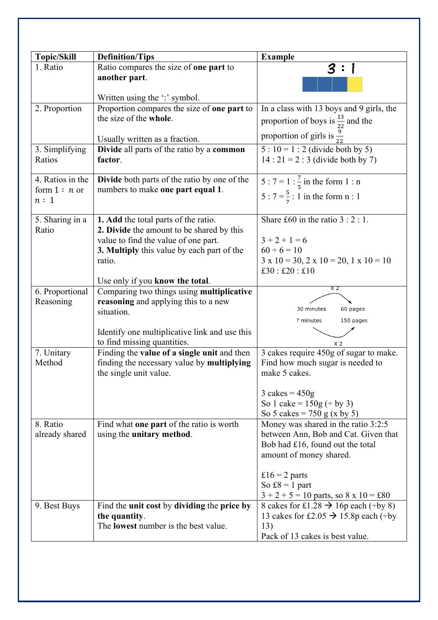| <b>Topic/Skill</b>       |                                                                  |                                                              |
|--------------------------|------------------------------------------------------------------|--------------------------------------------------------------|
| 1. Ratio                 | <b>Definition/Tips</b><br>Ratio compares the size of one part to | <b>Example</b>                                               |
|                          | another part.                                                    | 3                                                            |
|                          |                                                                  |                                                              |
|                          | Written using the ':' symbol.                                    |                                                              |
| 2. Proportion            | Proportion compares the size of one part to                      | In a class with 13 boys and 9 girls, the                     |
|                          | the size of the whole.                                           | proportion of boys is $\frac{13}{22}$ and the                |
|                          |                                                                  | proportion of girls is $\frac{9}{22}$                        |
|                          | Usually written as a fraction.                                   |                                                              |
| 3. Simplifying<br>Ratios | Divide all parts of the ratio by a common<br>factor.             | $5:10 = 1:2$ (divide both by 5)                              |
|                          |                                                                  | $14:21 = 2:3$ (divide both by 7)                             |
| 4. Ratios in the         | <b>Divide</b> both parts of the ratio by one of the              | 5 : 7 = 1 : $\frac{7}{5}$ in the form 1 : n                  |
| form $1 : n$ or          | numbers to make one part equal 1.                                |                                                              |
| n:1                      |                                                                  | 5 : $7 = \frac{5}{7}$ : 1 in the form n : 1                  |
| 5. Sharing in a          | 1. Add the total parts of the ratio.                             | Share £60 in the ratio $3:2:1$ .                             |
| Ratio                    | 2. Divide the amount to be shared by this                        |                                                              |
|                          | value to find the value of one part.                             | $3 + 2 + 1 = 6$                                              |
|                          | 3. Multiply this value by each part of the                       | $60 \div 6 = 10$                                             |
|                          | ratio.                                                           | $3 \times 10 = 30$ , $2 \times 10 = 20$ , $1 \times 10 = 10$ |
|                          |                                                                  | £30 : £20 : £10                                              |
|                          | Use only if you know the total.                                  | X 2                                                          |
| 6. Proportional          | Comparing two things using multiplicative                        |                                                              |
| Reasoning                | reasoning and applying this to a new<br>situation.               | 30 minutes<br>60 pages                                       |
|                          |                                                                  | 150 pages<br>? minutes                                       |
|                          | Identify one multiplicative link and use this                    |                                                              |
|                          | to find missing quantities.                                      | X <sub>2</sub>                                               |
| 7. Unitary               | Finding the value of a single unit and then                      | 3 cakes require 450g of sugar to make.                       |
| Method                   | finding the necessary value by multiplying                       | Find how much sugar is needed to                             |
|                          | the single unit value.                                           | make 5 cakes.                                                |
|                          |                                                                  | $3 \text{ cakes} = 450 \text{g}$                             |
|                          |                                                                  | So 1 cake = $150g (+ by 3)$                                  |
|                          |                                                                  | So 5 cakes = $750 g (x by 5)$                                |
| 8. Ratio                 | Find what one part of the ratio is worth                         | Money was shared in the ratio 3:2:5                          |
| already shared           | using the unitary method.                                        | between Ann, Bob and Cat. Given that                         |
|                          |                                                                  | Bob had £16, found out the total                             |
|                          |                                                                  | amount of money shared.                                      |
|                          |                                                                  | £16 = 2 parts                                                |
|                          |                                                                  | So $\pounds 8 = 1$ part                                      |
|                          |                                                                  | $3 + 2 + 5 = 10$ parts, so $8 \times 10 = \text{\pounds}80$  |
| 9. Best Buys             | Find the unit cost by dividing the price by                      | 8 cakes for £1.28 $\rightarrow$ 16p each (÷by 8)             |
|                          | the quantity.                                                    | 13 cakes for £2.05 $\rightarrow$ 15.8p each (÷by             |
|                          | The <b>lowest</b> number is the best value.                      | 13)                                                          |
|                          |                                                                  | Pack of 13 cakes is best value.                              |